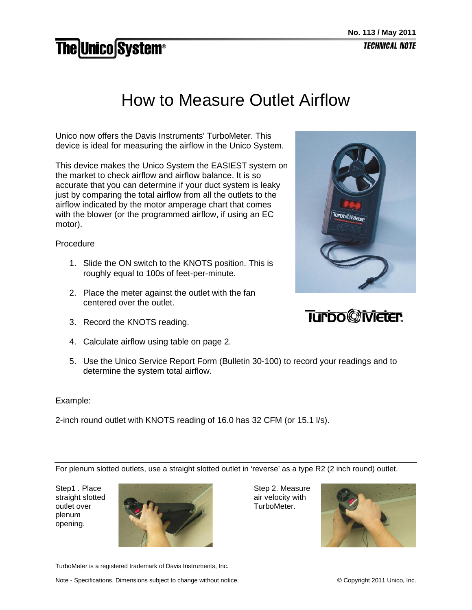## **The Unico System®**

## How to Measure Outlet Airflow

Unico now offers the Davis Instruments' TurboMeter. This device is ideal for measuring the airflow in the Unico System.

This device makes the Unico System the EASIEST system on the market to check airflow and airflow balance. It is so accurate that you can determine if your duct system is leaky just by comparing the total airflow from all the outlets to the airflow indicated by the motor amperage chart that comes with the blower (or the programmed airflow, if using an EC motor).

Procedure

- 1. Slide the ON switch to the KNOTS position. This is roughly equal to 100s of feet-per-minute.
- 2. Place the meter against the outlet with the fan centered over the outlet.
- 3. Record the KNOTS reading.
- 4. Calculate airflow using table on page 2.
- 5. Use the Unico Service Report Form (Bulletin 30-100) to record your readings and to determine the system total airflow.

Example:

2-inch round outlet with KNOTS reading of 16.0 has 32 CFM (or 15.1 l/s).

For plenum slotted outlets, use a straight slotted outlet in 'reverse' as a type R2 (2 inch round) outlet.

Step1 . Place straight slotted outlet over plenum opening.



Step 2. Measure air velocity with TurboMeter.



TurboMeter is a registered trademark of Davis Instruments, Inc.

Note - Specifications, Dimensions subject to change without notice. © Copyright 2011 Unico, Inc.



## **Turbo@Meter**